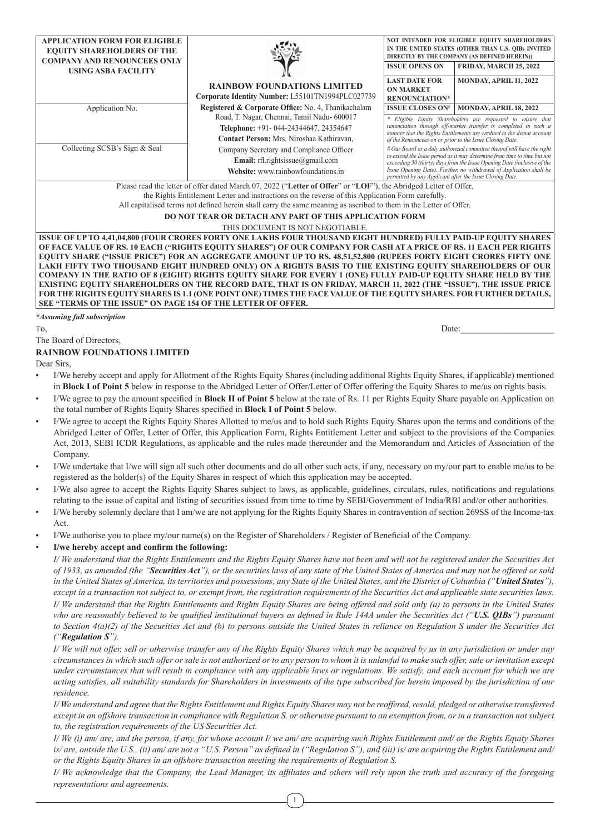| <b>APPLICATION FORM FOR ELIGIBLE</b><br><b>EQUITY SHAREHOLDERS OF THE</b>                |                                                                                                                                                                                                                                                                                                                                                                                                                                 | NOT INTENDED FOR ELIGIBLE EQUITY SHAREHOLDERS<br>IN THE UNITED STATES (OTHER THAN U.S. QIBs INVITED<br>DIRECTLY BY THE COMPANY (AS DEFINED HEREIN))                                                                                                                 |
|------------------------------------------------------------------------------------------|---------------------------------------------------------------------------------------------------------------------------------------------------------------------------------------------------------------------------------------------------------------------------------------------------------------------------------------------------------------------------------------------------------------------------------|---------------------------------------------------------------------------------------------------------------------------------------------------------------------------------------------------------------------------------------------------------------------|
| <b>COMPANY AND RENOUNCEES ONLY</b><br><b>USING ASBA FACILITY</b>                         |                                                                                                                                                                                                                                                                                                                                                                                                                                 | <b>ISSUE OPENS ON</b><br><b>FRIDAY, MARCH 25, 2022</b>                                                                                                                                                                                                              |
|                                                                                          | <b>RAINBOW FOUNDATIONS LIMITED</b>                                                                                                                                                                                                                                                                                                                                                                                              | MONDAY, APRIL 11, 2022<br><b>LAST DATE FOR</b><br><b>ON MARKET</b>                                                                                                                                                                                                  |
|                                                                                          | Corporate Identity Number: L55101TN1994PLC027739                                                                                                                                                                                                                                                                                                                                                                                | <b>RENOUNCIATION*</b>                                                                                                                                                                                                                                               |
| Application No.                                                                          | Registered & Corporate Office: No. 4, Thanikachalam                                                                                                                                                                                                                                                                                                                                                                             | <b>ISSUE CLOSES ON#</b><br>MONDAY, APRIL 18, 2022                                                                                                                                                                                                                   |
|                                                                                          | Road, T. Nagar, Chennai, Tamil Nadu- 600017<br>Telephone: +91-044-24344647, 24354647<br>Contact Person: Mrs. Niroshaa Kathiravan,                                                                                                                                                                                                                                                                                               | * Eligible Equity Shareholders are requested to ensure that<br>renunciation through off-market transfer is completed in such a<br>manner that the Rights Entitlements are credited to the demat account<br>of the Renouncees on or prior to the Issue Closing Date. |
| Collecting SCSB's Sign & Seal                                                            | # Our Board or a duly authorized committee thereof will have the right<br>to extend the Issue period as it may determine from time to time but not<br>exceeding 30 (thirty) days from the Issue Opening Date (inclusive of the<br>Issue Opening Date). Further, no withdrawal of Application shall be<br>permitted by any Applicant after the Issue Closing Date.                                                               |                                                                                                                                                                                                                                                                     |
|                                                                                          | Please read the letter of offer dated March 07, 2022 ("Letter of Offer" or "LOF"), the Abridged Letter of Offer,                                                                                                                                                                                                                                                                                                                |                                                                                                                                                                                                                                                                     |
|                                                                                          | the Rights Entitlement Letter and instructions on the reverse of this Application Form carefully.                                                                                                                                                                                                                                                                                                                               |                                                                                                                                                                                                                                                                     |
|                                                                                          | All capitalised terms not defined herein shall carry the same meaning as ascribed to them in the Letter of Offer.                                                                                                                                                                                                                                                                                                               |                                                                                                                                                                                                                                                                     |
|                                                                                          | DO NOT TEAR OR DETACH ANY PART OF THIS APPLICATION FORM                                                                                                                                                                                                                                                                                                                                                                         |                                                                                                                                                                                                                                                                     |
|                                                                                          | THIS DOCUMENT IS NOT NEGOTIABLE.                                                                                                                                                                                                                                                                                                                                                                                                |                                                                                                                                                                                                                                                                     |
|                                                                                          | ISSUE OF UP TO 4,41,04,800 (FOUR CRORES FORTY ONE LAKHS FOUR THOUSAND EIGHT HUNDRED) FULLY PAID-UP EQUITY SHARES<br>OF FACE VALUE OF RS. 10 EACH ("RIGHTS EQUITY SHARES") OF OUR COMPANY FOR CASH AT A PRICE OF RS. 11 EACH PER RIGHTS                                                                                                                                                                                          |                                                                                                                                                                                                                                                                     |
|                                                                                          | EQUITY SHARE ("ISSUE PRICE") FOR AN AGGREGATE AMOUNT UP TO RS. 48,51,52,800 (RUPEES FORTY EIGHT CRORES FIFTY ONE                                                                                                                                                                                                                                                                                                                |                                                                                                                                                                                                                                                                     |
|                                                                                          | LAKH FIFTY TWO THOUSAND EIGHT HUNDRED ONLY) ON A RIGHTS BASIS TO THE EXISTING EQUITY SHAREHOLDERS OF OUR                                                                                                                                                                                                                                                                                                                        |                                                                                                                                                                                                                                                                     |
|                                                                                          | COMPANY IN THE RATIO OF 8 (EIGHT) RIGHTS EQUITY SHARE FOR EVERY 1 (ONE) FULLY PAID-UP EQUITY SHARE HELD BY THE                                                                                                                                                                                                                                                                                                                  |                                                                                                                                                                                                                                                                     |
|                                                                                          | EXISTING EQUITY SHAREHOLDERS ON THE RECORD DATE, THAT IS ON FRIDAY, MARCH 11, 2022 (THE "ISSUE"). THE ISSUE PRICE                                                                                                                                                                                                                                                                                                               |                                                                                                                                                                                                                                                                     |
| SEE "TERMS OF THE ISSUE" ON PAGE 154 OF THE LETTER OF OFFER.                             | FOR THE RIGHTS EQUITY SHARES IS 1.1 (ONE POINT ONE) TIMES THE FACE VALUE OF THE EQUITY SHARES. FOR FURTHER DETAILS,                                                                                                                                                                                                                                                                                                             |                                                                                                                                                                                                                                                                     |
| *Assuming full subscription                                                              |                                                                                                                                                                                                                                                                                                                                                                                                                                 |                                                                                                                                                                                                                                                                     |
|                                                                                          |                                                                                                                                                                                                                                                                                                                                                                                                                                 |                                                                                                                                                                                                                                                                     |
|                                                                                          |                                                                                                                                                                                                                                                                                                                                                                                                                                 |                                                                                                                                                                                                                                                                     |
| To,                                                                                      |                                                                                                                                                                                                                                                                                                                                                                                                                                 | Date:                                                                                                                                                                                                                                                               |
|                                                                                          |                                                                                                                                                                                                                                                                                                                                                                                                                                 |                                                                                                                                                                                                                                                                     |
|                                                                                          |                                                                                                                                                                                                                                                                                                                                                                                                                                 |                                                                                                                                                                                                                                                                     |
|                                                                                          |                                                                                                                                                                                                                                                                                                                                                                                                                                 |                                                                                                                                                                                                                                                                     |
|                                                                                          | I/We hereby accept and apply for Allotment of the Rights Equity Shares (including additional Rights Equity Shares, if applicable) mentioned                                                                                                                                                                                                                                                                                     |                                                                                                                                                                                                                                                                     |
| The Board of Directors,<br><b>RAINBOW FOUNDATIONS LIMITED</b><br>Dear Sirs,<br>$\bullet$ | in Block I of Point 5 below in response to the Abridged Letter of Offer/Letter of Offer offering the Equity Shares to me/us on rights basis.<br>I/We agree to pay the amount specified in Block II of Point 5 below at the rate of Rs. 11 per Rights Equity Share payable on Application on                                                                                                                                     |                                                                                                                                                                                                                                                                     |
| $\bullet$                                                                                | the total number of Rights Equity Shares specified in Block I of Point 5 below.                                                                                                                                                                                                                                                                                                                                                 |                                                                                                                                                                                                                                                                     |
|                                                                                          | I/We agree to accept the Rights Equity Shares Allotted to me/us and to hold such Rights Equity Shares upon the terms and conditions of the<br>Abridged Letter of Offer, Letter of Offer, this Application Form, Rights Entitlement Letter and subject to the provisions of the Companies<br>Act, 2013, SEBI ICDR Regulations, as applicable and the rules made thereunder and the Memorandum and Articles of Association of the |                                                                                                                                                                                                                                                                     |
| Company.                                                                                 | I/We undertake that I/we will sign all such other documents and do all other such acts, if any, necessary on my/our part to enable me/us to be<br>registered as the holder(s) of the Equity Shares in respect of which this application may be accepted.                                                                                                                                                                        |                                                                                                                                                                                                                                                                     |
| $\bullet$                                                                                | I/We also agree to accept the Rights Equity Shares subject to laws, as applicable, guidelines, circulars, rules, notifications and regulations                                                                                                                                                                                                                                                                                  |                                                                                                                                                                                                                                                                     |
| $\bullet$                                                                                | relating to the issue of capital and listing of securities issued from time to time by SEBI/Government of India/RBI and/or other authorities.<br>I/We hereby solemnly declare that I am/we are not applying for the Rights Equity Shares in contravention of section 269SS of the Income-tax                                                                                                                                    |                                                                                                                                                                                                                                                                     |
| Act.                                                                                     |                                                                                                                                                                                                                                                                                                                                                                                                                                 |                                                                                                                                                                                                                                                                     |
|                                                                                          | I/We authorise you to place my/our name(s) on the Register of Shareholders / Register of Beneficial of the Company.                                                                                                                                                                                                                                                                                                             |                                                                                                                                                                                                                                                                     |
| $\bullet$<br>I/we hereby accept and confirm the following:<br>$\bullet$                  | I/ We understand that the Rights Entitlements and the Rights Equity Shares have not been and will not be registered under the Securities Act                                                                                                                                                                                                                                                                                    |                                                                                                                                                                                                                                                                     |

*I/ We understand that the Rights Entitlements and Rights Equity Shares are being offered and sold only (a) to persons in the United States who are reasonably believed to be qualified institutional buyers as defined in Rule 144A under the Securities Act ("U.S. QIBs") pursuant to Section 4(a)(2) of the Securities Act and (b) to persons outside the United States in reliance on Regulation S under the Securities Act ("Regulation S").* 

*I/ We will not offer, sell or otherwise transfer any of the Rights Equity Shares which may be acquired by us in any jurisdiction or under any circumstances in which such offer or sale is not authorized or to any person to whom it is unlawful to make such offer, sale or invitation except under circumstances that will result in compliance with any applicable laws or regulations. We satisfy, and each account for which we are acting satisfies, all suitability standards for Shareholders in investments of the type subscribed for herein imposed by the jurisdiction of our residence.*

*I/ We understand and agree that the Rights Entitlement and Rights Equity Shares may not be reoffered, resold, pledged or otherwise transferred except in an offshore transaction in compliance with Regulation S, or otherwise pursuant to an exemption from, or in a transaction not subject to, the registration requirements of the US Securities Act.*

*I/ We (i) am/ are, and the person, if any, for whose account I/ we am/ are acquiring such Rights Entitlement and/ or the Rights Equity Shares*  is/ are, outside the U.S., (ii) am/ are not a "U.S. Person" as defined in ("Regulation S"), and (iii) is/ are acquiring the Rights Entitlement and/ *or the Rights Equity Shares in an offshore transaction meeting the requirements of Regulation S.*

*I/ We acknowledge that the Company, the Lead Manager, its affiliates and others will rely upon the truth and accuracy of the foregoing representations and agreements.*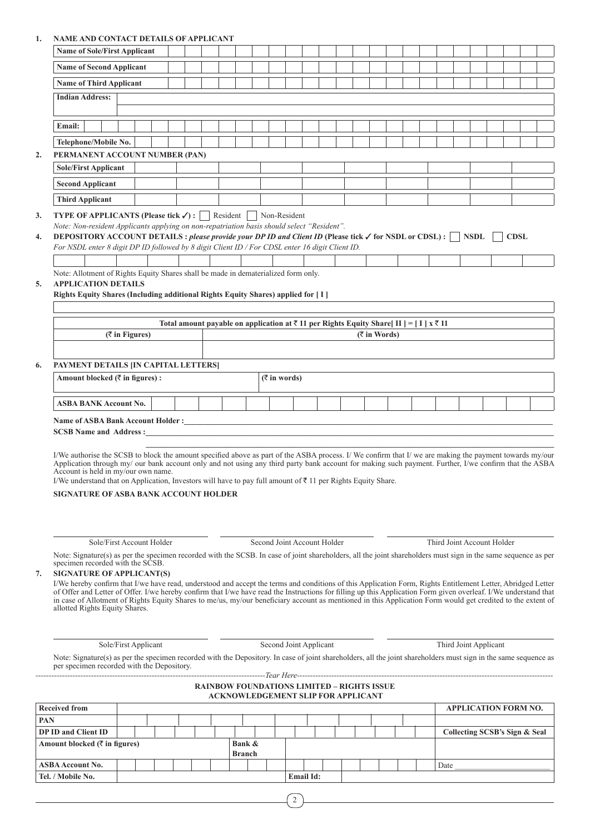# **1. NAME AND CONTACT DETAILS OF APPLICANT**

|            | <b>Name of Sole/First Applicant</b>                                                                                                                                                                                                                                                                                              |                      |  |  |  |               |                               |  |                                                                                                              |  |                 |  |  |                               |  |             |  |
|------------|----------------------------------------------------------------------------------------------------------------------------------------------------------------------------------------------------------------------------------------------------------------------------------------------------------------------------------|----------------------|--|--|--|---------------|-------------------------------|--|--------------------------------------------------------------------------------------------------------------|--|-----------------|--|--|-------------------------------|--|-------------|--|
|            |                                                                                                                                                                                                                                                                                                                                  |                      |  |  |  |               |                               |  |                                                                                                              |  |                 |  |  |                               |  |             |  |
|            | <b>Name of Second Applicant</b>                                                                                                                                                                                                                                                                                                  |                      |  |  |  |               |                               |  |                                                                                                              |  |                 |  |  |                               |  |             |  |
|            | <b>Name of Third Applicant</b>                                                                                                                                                                                                                                                                                                   |                      |  |  |  |               |                               |  |                                                                                                              |  |                 |  |  |                               |  |             |  |
|            | <b>Indian Address:</b>                                                                                                                                                                                                                                                                                                           |                      |  |  |  |               |                               |  |                                                                                                              |  |                 |  |  |                               |  |             |  |
|            | Email:                                                                                                                                                                                                                                                                                                                           |                      |  |  |  |               |                               |  |                                                                                                              |  |                 |  |  |                               |  |             |  |
|            | Telephone/Mobile No.                                                                                                                                                                                                                                                                                                             |                      |  |  |  |               |                               |  |                                                                                                              |  |                 |  |  |                               |  |             |  |
| 2.         | PERMANENT ACCOUNT NUMBER (PAN)                                                                                                                                                                                                                                                                                                   |                      |  |  |  |               |                               |  |                                                                                                              |  |                 |  |  |                               |  |             |  |
|            | <b>Sole/First Applicant</b>                                                                                                                                                                                                                                                                                                      |                      |  |  |  |               |                               |  |                                                                                                              |  |                 |  |  |                               |  |             |  |
|            | <b>Second Applicant</b>                                                                                                                                                                                                                                                                                                          |                      |  |  |  |               |                               |  |                                                                                                              |  |                 |  |  |                               |  |             |  |
|            | <b>Third Applicant</b>                                                                                                                                                                                                                                                                                                           |                      |  |  |  |               |                               |  |                                                                                                              |  |                 |  |  |                               |  |             |  |
| 3.         | <b>TYPE OF APPLICANTS (Please tick <math>\checkmark</math>) :</b> Resident Non-Resident                                                                                                                                                                                                                                          |                      |  |  |  |               |                               |  |                                                                                                              |  |                 |  |  |                               |  |             |  |
|            | Note: Non-resident Applicants applying on non-repatriation basis should select "Resident".                                                                                                                                                                                                                                       |                      |  |  |  |               |                               |  |                                                                                                              |  |                 |  |  |                               |  |             |  |
| 4.         | DEPOSITORY ACCOUNT DETAILS: please provide your DP ID and Client ID (Please tick $\checkmark$ for NSDL or CDSL): $\Box$ NSDL<br>For NSDL enter 8 digit DP ID followed by 8 digit Client ID / For CDSL enter 16 digit Client ID.                                                                                                  |                      |  |  |  |               |                               |  |                                                                                                              |  |                 |  |  |                               |  | <b>CDSL</b> |  |
|            |                                                                                                                                                                                                                                                                                                                                  |                      |  |  |  |               |                               |  |                                                                                                              |  |                 |  |  |                               |  |             |  |
|            | Note: Allotment of Rights Equity Shares shall be made in dematerialized form only.                                                                                                                                                                                                                                               |                      |  |  |  |               |                               |  |                                                                                                              |  |                 |  |  |                               |  |             |  |
| 5.         | <b>APPLICATION DETAILS</b>                                                                                                                                                                                                                                                                                                       |                      |  |  |  |               |                               |  |                                                                                                              |  |                 |  |  |                               |  |             |  |
|            | Rights Equity Shares (Including additional Rights Equity Shares) applied for [I]                                                                                                                                                                                                                                                 |                      |  |  |  |               |                               |  |                                                                                                              |  |                 |  |  |                               |  |             |  |
|            |                                                                                                                                                                                                                                                                                                                                  |                      |  |  |  |               |                               |  |                                                                                                              |  |                 |  |  |                               |  |             |  |
|            |                                                                                                                                                                                                                                                                                                                                  |                      |  |  |  |               |                               |  | Total amount payable on application at $\bar{\tau}$ 11 per Rights Equity Share [II ] = [I] $x \bar{\tau}$ 11 |  |                 |  |  |                               |  |             |  |
|            |                                                                                                                                                                                                                                                                                                                                  | $($ ₹ in Figures)    |  |  |  |               |                               |  |                                                                                                              |  | $($ ₹ in Words) |  |  |                               |  |             |  |
|            |                                                                                                                                                                                                                                                                                                                                  |                      |  |  |  |               |                               |  |                                                                                                              |  |                 |  |  |                               |  |             |  |
| 6.         | PAYMENT DETAILS [IN CAPITAL LETTERS]                                                                                                                                                                                                                                                                                             |                      |  |  |  |               |                               |  |                                                                                                              |  |                 |  |  |                               |  |             |  |
|            | Amount blocked $(\bar{\tau}$ in figures) :                                                                                                                                                                                                                                                                                       |                      |  |  |  |               | $(\overline{\zeta}$ in words) |  |                                                                                                              |  |                 |  |  |                               |  |             |  |
|            | <b>ASBA BANK Account No.</b>                                                                                                                                                                                                                                                                                                     |                      |  |  |  |               |                               |  |                                                                                                              |  |                 |  |  |                               |  |             |  |
|            |                                                                                                                                                                                                                                                                                                                                  |                      |  |  |  |               |                               |  |                                                                                                              |  |                 |  |  |                               |  |             |  |
|            |                                                                                                                                                                                                                                                                                                                                  |                      |  |  |  |               |                               |  |                                                                                                              |  |                 |  |  |                               |  |             |  |
|            |                                                                                                                                                                                                                                                                                                                                  |                      |  |  |  |               |                               |  |                                                                                                              |  |                 |  |  |                               |  |             |  |
|            | I/We authorise the SCSB to block the amount specified above as part of the ASBA process. I/We confirm that I/we are making the payment towards my/our<br>Application through my/ our bank account only and not using any third party bank account for making such payment. Further, I/we confirm that the ASBA                   |                      |  |  |  |               |                               |  |                                                                                                              |  |                 |  |  |                               |  |             |  |
|            | Account is held in my/our own name.                                                                                                                                                                                                                                                                                              |                      |  |  |  |               |                               |  |                                                                                                              |  |                 |  |  |                               |  |             |  |
|            | I/We understand that on Application, Investors will have to pay full amount of ₹ 11 per Rights Equity Share.                                                                                                                                                                                                                     |                      |  |  |  |               |                               |  |                                                                                                              |  |                 |  |  |                               |  |             |  |
|            | <b>SIGNATURE OF ASBA BANK ACCOUNT HOLDER</b>                                                                                                                                                                                                                                                                                     |                      |  |  |  |               |                               |  |                                                                                                              |  |                 |  |  |                               |  |             |  |
|            |                                                                                                                                                                                                                                                                                                                                  |                      |  |  |  |               |                               |  |                                                                                                              |  |                 |  |  |                               |  |             |  |
|            |                                                                                                                                                                                                                                                                                                                                  |                      |  |  |  |               |                               |  |                                                                                                              |  |                 |  |  |                               |  |             |  |
|            | Sole/First Account Holder                                                                                                                                                                                                                                                                                                        |                      |  |  |  |               |                               |  | Second Joint Account Holder                                                                                  |  |                 |  |  | Third Joint Account Holder    |  |             |  |
|            | Note: Signature(s) as per the specimen recorded with the SCSB. In case of joint shareholders, all the joint shareholders must sign in the same sequence as per<br>specimen recorded with the SCSB.                                                                                                                               |                      |  |  |  |               |                               |  |                                                                                                              |  |                 |  |  |                               |  |             |  |
| 7.         | <b>SIGNATURE OF APPLICANT(S)</b>                                                                                                                                                                                                                                                                                                 |                      |  |  |  |               |                               |  |                                                                                                              |  |                 |  |  |                               |  |             |  |
|            | I/We hereby confirm that I/we have read, understood and accept the terms and conditions of this Application Form, Rights Entitlement Letter, Abridged Letter<br>of Offer and Letter of Offer. I/we hereby confirm that I/we have read the Instructions for filling up this Application Form given overleaf. I/We understand that |                      |  |  |  |               |                               |  |                                                                                                              |  |                 |  |  |                               |  |             |  |
|            | in case of Allotment of Rights Equity Shares to me/us, my/our beneficiary account as mentioned in this Application Form would get credited to the extent of                                                                                                                                                                      |                      |  |  |  |               |                               |  |                                                                                                              |  |                 |  |  |                               |  |             |  |
|            | allotted Rights Equity Shares.                                                                                                                                                                                                                                                                                                   |                      |  |  |  |               |                               |  |                                                                                                              |  |                 |  |  |                               |  |             |  |
|            |                                                                                                                                                                                                                                                                                                                                  |                      |  |  |  |               |                               |  |                                                                                                              |  |                 |  |  |                               |  |             |  |
|            |                                                                                                                                                                                                                                                                                                                                  | Sole/First Applicant |  |  |  |               |                               |  | Second Joint Applicant                                                                                       |  |                 |  |  | Third Joint Applicant         |  |             |  |
|            | Note: Signature(s) as per the specimen recorded with the Depository. In case of joint shareholders, all the joint shareholders must sign in the same sequence as                                                                                                                                                                 |                      |  |  |  |               |                               |  |                                                                                                              |  |                 |  |  |                               |  |             |  |
|            | per specimen recorded with the Depository.                                                                                                                                                                                                                                                                                       |                      |  |  |  |               |                               |  |                                                                                                              |  |                 |  |  |                               |  |             |  |
|            |                                                                                                                                                                                                                                                                                                                                  |                      |  |  |  |               |                               |  | <b>RAINBOW FOUNDATIONS LIMITED - RIGHTS ISSUE</b>                                                            |  |                 |  |  |                               |  |             |  |
|            | <b>Received from</b>                                                                                                                                                                                                                                                                                                             |                      |  |  |  |               |                               |  | ACKNOWLEDGEMENT SLIP FOR APPLICANT                                                                           |  |                 |  |  | <b>APPLICATION FORM NO.</b>   |  |             |  |
| <b>PAN</b> |                                                                                                                                                                                                                                                                                                                                  |                      |  |  |  |               |                               |  |                                                                                                              |  |                 |  |  |                               |  |             |  |
|            | DP ID and Client ID                                                                                                                                                                                                                                                                                                              |                      |  |  |  |               |                               |  |                                                                                                              |  |                 |  |  | Collecting SCSB's Sign & Seal |  |             |  |
|            | Amount blocked $(\bar{\tau}$ in figures)                                                                                                                                                                                                                                                                                         |                      |  |  |  | Bank &        |                               |  |                                                                                                              |  |                 |  |  |                               |  |             |  |
|            |                                                                                                                                                                                                                                                                                                                                  |                      |  |  |  | <b>Branch</b> |                               |  |                                                                                                              |  |                 |  |  |                               |  |             |  |

| $1.1110$ and $0.000$ and $(1.111)$ $(0.000)$ |               |  |  |  |  |  |  |  |                  |  |  |  |      |
|----------------------------------------------|---------------|--|--|--|--|--|--|--|------------------|--|--|--|------|
|                                              | <b>Branch</b> |  |  |  |  |  |  |  |                  |  |  |  |      |
| <b>ASBA</b> Account No.                      |               |  |  |  |  |  |  |  |                  |  |  |  | Date |
| Tel. / Mobile No.                            |               |  |  |  |  |  |  |  | <b>Email Id:</b> |  |  |  |      |
|                                              |               |  |  |  |  |  |  |  |                  |  |  |  |      |

 $\sqrt{2}$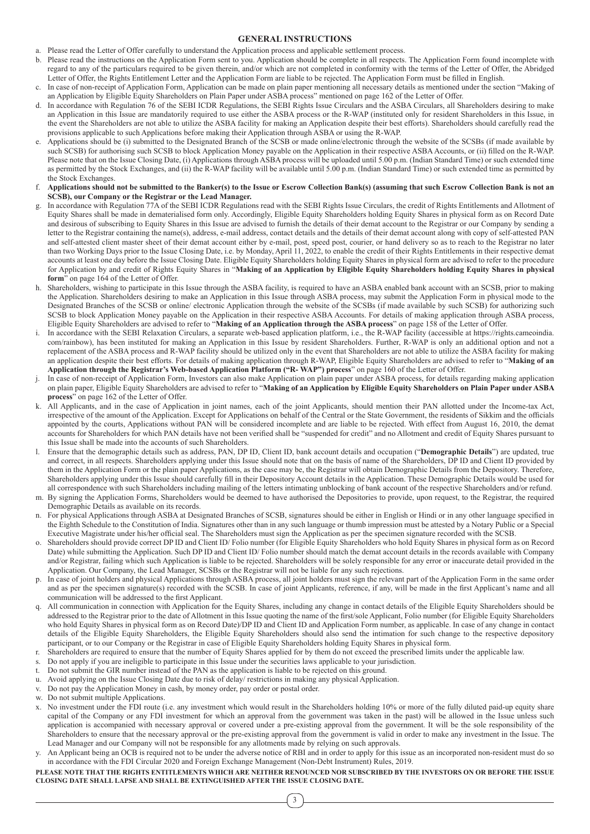## **GENERAL INSTRUCTIONS**

- a. Please read the Letter of Offer carefully to understand the Application process and applicable settlement process.
- b. Please read the instructions on the Application Form sent to you. Application should be complete in all respects. The Application Form found incomplete with regard to any of the particulars required to be given therein, and/or which are not completed in conformity with the terms of the Letter of Offer, the Abridged Letter of Offer, the Rights Entitlement Letter and the Application Form are liable to be rejected. The Application Form must be filled in English.
- c. In case of non-receipt of Application Form, Application can be made on plain paper mentioning all necessary details as mentioned under the section "Making of an Application by Eligible Equity Shareholders on Plain Paper under ASBA process" mentioned on page 162 of the Letter of Offer.
- d. In accordance with Regulation 76 of the SEBI ICDR Regulations, the SEBI Rights Issue Circulars and the ASBA Circulars, all Shareholders desiring to make an Application in this Issue are mandatorily required to use either the ASBA process or the R-WAP (instituted only for resident Shareholders in this Issue, in the event the Shareholders are not able to utilize the ASBA facility for making an Application despite their best efforts). Shareholders should carefully read the provisions applicable to such Applications before making their Application through ASBA or using the R-WAP.
- e. Applications should be (i) submitted to the Designated Branch of the SCSB or made online/electronic through the website of the SCSBs (if made available by such SCSB) for authorising such SCSB to block Application Money payable on the Application in their respective ASBA Accounts, or (ii) filled on the R-WAP. Please note that on the Issue Closing Date, (i) Applications through ASBA process will be uploaded until 5.00 p.m. (Indian Standard Time) or such extended time as permitted by the Stock Exchanges, and (ii) the R-WAP facility will be available until 5.00 p.m. (Indian Standard Time) or such extended time as permitted by the Stock Exchanges.
- f. **Applications should not be submitted to the Banker(s) to the Issue or Escrow Collection Bank(s) (assuming that such Escrow Collection Bank is not an SCSB), our Company or the Registrar or the Lead Manager.**
- In accordance with Regulation 77A of the SEBI ICDR Regulations read with the SEBI Rights Issue Circulars, the credit of Rights Entitlements and Allotment of Equity Shares shall be made in dematerialised form only. Accordingly, Eligible Equity Shareholders holding Equity Shares in physical form as on Record Date and desirous of subscribing to Equity Shares in this Issue are advised to furnish the details of their demat account to the Registrar or our Company by sending a letter to the Registrar containing the name(s), address, e-mail address, contact details and the details of their demat account along with copy of self-attested PAN and self-attested client master sheet of their demat account either by e-mail, post, speed post, courier, or hand delivery so as to reach to the Registrar no later than two Working Days prior to the Issue Closing Date, i.e. by Monday, April 11, 2022, to enable the credit of their Rights Entitlements in their respective demat accounts at least one day before the Issue Closing Date. Eligible Equity Shareholders holding Equity Shares in physical form are advised to refer to the procedure for Application by and credit of Rights Equity Shares in "**Making of an Application by Eligible Equity Shareholders holding Equity Shares in physical form**" on page 164 of the Letter of Offer.
- h. Shareholders, wishing to participate in this Issue through the ASBA facility, is required to have an ASBA enabled bank account with an SCSB, prior to making the Application. Shareholders desiring to make an Application in this Issue through ASBA process, may submit the Application Form in physical mode to the Designated Branches of the SCSB or online/ electronic Application through the website of the SCSBs (if made available by such SCSB) for authorizing such SCSB to block Application Money payable on the Application in their respective ASBA Accounts. For details of making application through ASBA process, Eligible Equity Shareholders are advised to refer to "**Making of an Application through the ASBA process**" on page 158 of the Letter of Offer.
- In accordance with the SEBI Relaxation Circulars, a separate web-based application platform, i.e., the R-WAP facility (accessible at https://rights.cameoindia. com/rainbow), has been instituted for making an Application in this Issue by resident Shareholders. Further, R-WAP is only an additional option and not a replacement of the ASBA process and R-WAP facility should be utilized only in the event that Shareholders are not able to utilize the ASBA facility for making an application despite their best efforts. For details of making application through R-WAP, Eligible Equity Shareholders are advised to refer to "**Making of an Application through the Registrar's Web-based Application Platform ("R- WAP") process**" on page 160 of the Letter of Offer.
- In case of non-receipt of Application Form, Investors can also make Application on plain paper under ASBA process, for details regarding making application on plain paper, Eligible Equity Shareholders are advised to refer to "**Making of an Application by Eligible Equity Shareholders on Plain Paper under ASBA process**" on page 162 of the Letter of Offer.
- All Applicants, and in the case of Application in joint names, each of the joint Applicants, should mention their PAN allotted under the Income-tax Act, irrespective of the amount of the Application. Except for Applications on behalf of the Central or the State Government, the residents of Sikkim and the officials appointed by the courts, Applications without PAN will be considered incomplete and are liable to be rejected. With effect from August 16, 2010, the demat accounts for Shareholders for which PAN details have not been verified shall be "suspended for credit" and no Allotment and credit of Equity Shares pursuant to this Issue shall be made into the accounts of such Shareholders.
- l. Ensure that the demographic details such as address, PAN, DP ID, Client ID, bank account details and occupation ("**Demographic Details**") are updated, true and correct, in all respects. Shareholders applying under this Issue should note that on the basis of name of the Shareholders, DP ID and Client ID provided by them in the Application Form or the plain paper Applications, as the case may be, the Registrar will obtain Demographic Details from the Depository. Therefore, Shareholders applying under this Issue should carefully fill in their Depository Account details in the Application. These Demographic Details would be used for all correspondence with such Shareholders including mailing of the letters intimating unblocking of bank account of the respective Shareholders and/or refund.
- m. By signing the Application Forms, Shareholders would be deemed to have authorised the Depositories to provide, upon request, to the Registrar, the required Demographic Details as available on its records.
- n. For physical Applications through ASBA at Designated Branches of SCSB, signatures should be either in English or Hindi or in any other language specified in the Eighth Schedule to the Constitution of India. Signatures other than in any such language or thumb impression must be attested by a Notary Public or a Special Executive Magistrate under his/her official seal. The Shareholders must sign the Application as per the specimen signature recorded with the SCSB.
- o. Shareholders should provide correct DP ID and Client ID/ Folio number (for Eligible Equity Shareholders who hold Equity Shares in physical form as on Record Date) while submitting the Application. Such DP ID and Client ID/ Folio number should match the demat account details in the records available with Company and/or Registrar, failing which such Application is liable to be rejected. Shareholders will be solely responsible for any error or inaccurate detail provided in the Application. Our Company, the Lead Manager, SCSBs or the Registrar will not be liable for any such rejections.
- p. In case of joint holders and physical Applications through ASBA process, all joint holders must sign the relevant part of the Application Form in the same order and as per the specimen signature(s) recorded with the SCSB. In case of joint Applicants, reference, if any, will be made in the first Applicant's name and all communication will be addressed to the first Applicant.
- All communication in connection with Application for the Equity Shares, including any change in contact details of the Eligible Equity Shareholders should be addressed to the Registrar prior to the date of Allotment in this Issue quoting the name of the first/sole Applicant, Folio number (for Eligible Equity Shareholders who hold Equity Shares in physical form as on Record Date)/DP ID and Client ID and Application Form number, as applicable. In case of any change in contact details of the Eligible Equity Shareholders, the Eligible Equity Shareholders should also send the intimation for such change to the respective depository participant, or to our Company or the Registrar in case of Eligible Equity Shareholders holding Equity Shares in physical form.
- r. Shareholders are required to ensure that the number of Equity Shares applied for by them do not exceed the prescribed limits under the applicable law.
- Do not apply if you are ineligible to participate in this Issue under the securities laws applicable to your jurisdiction.
- t. Do not submit the GIR number instead of the PAN as the application is liable to be rejected on this ground.
- u. Avoid applying on the Issue Closing Date due to risk of delay/ restrictions in making any physical Application.
- Do not pay the Application Money in cash, by money order, pay order or postal order.
- w. Do not submit multiple Applications.
- x. No investment under the FDI route (i.e. any investment which would result in the Shareholders holding 10% or more of the fully diluted paid-up equity share capital of the Company or any FDI investment for which an approval from the government was taken in the past) will be allowed in the Issue unless such application is accompanied with necessary approval or covered under a pre-existing approval from the government. It will be the sole responsibility of the Shareholders to ensure that the necessary approval or the pre-existing approval from the government is valid in order to make any investment in the Issue. The Lead Manager and our Company will not be responsible for any allotments made by relying on such approvals.
- An Applicant being an OCB is required not to be under the adverse notice of RBI and in order to apply for this issue as an incorporated non-resident must do so in accordance with the FDI Circular 2020 and Foreign Exchange Management (Non-Debt Instrument) Rules, 2019.

#### **PLEASE NOTE THAT THE RIGHTS ENTITLEMENTS WHICH ARE NEITHER RENOUNCED NOR SUBSCRIBED BY THE INVESTORS ON OR BEFORE THE ISSUE CLOSING DATE SHALL LAPSE AND SHALL BE EXTINGUISHED AFTER THE ISSUE CLOSING DATE.**